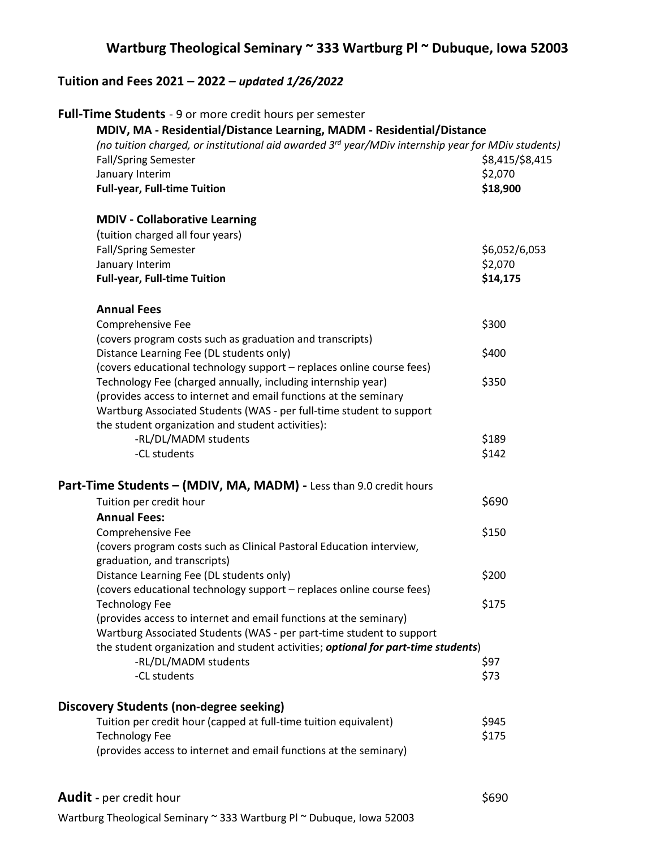## **Wartburg Theological Seminary ~ 333 Wartburg Pl ~ Dubuque, Iowa 52003**

## **Tuition and Fees 2021 – 2022 –** *updated 1/26/2022*

| Full-Time Students - 9 or more credit hours per semester                                                       |                 |
|----------------------------------------------------------------------------------------------------------------|-----------------|
| MDIV, MA - Residential/Distance Learning, MADM - Residential/Distance                                          |                 |
| (no tuition charged, or institutional aid awarded 3 <sup>rd</sup> year/MDiv internship year for MDiv students) |                 |
| <b>Fall/Spring Semester</b>                                                                                    | \$8,415/\$8,415 |
| January Interim                                                                                                | \$2,070         |
| <b>Full-year, Full-time Tuition</b>                                                                            | \$18,900        |
| <b>MDIV - Collaborative Learning</b>                                                                           |                 |
| (tuition charged all four years)                                                                               |                 |
| <b>Fall/Spring Semester</b>                                                                                    | \$6,052/6,053   |
| January Interim                                                                                                | \$2,070         |
| <b>Full-year, Full-time Tuition</b>                                                                            | \$14,175        |
| <b>Annual Fees</b>                                                                                             |                 |
| Comprehensive Fee                                                                                              | \$300           |
| (covers program costs such as graduation and transcripts)                                                      |                 |
| Distance Learning Fee (DL students only)                                                                       | \$400           |
| (covers educational technology support - replaces online course fees)                                          |                 |
| Technology Fee (charged annually, including internship year)                                                   | \$350           |
| (provides access to internet and email functions at the seminary                                               |                 |
| Wartburg Associated Students (WAS - per full-time student to support                                           |                 |
| the student organization and student activities):                                                              |                 |
| -RL/DL/MADM students                                                                                           | \$189           |
|                                                                                                                |                 |
| -CL students                                                                                                   | \$142           |
| Part-Time Students - (MDIV, MA, MADM) - Less than 9.0 credit hours                                             |                 |
| Tuition per credit hour                                                                                        | \$690           |
| <b>Annual Fees:</b>                                                                                            |                 |
| Comprehensive Fee                                                                                              | \$150           |
| (covers program costs such as Clinical Pastoral Education interview,<br>graduation, and transcripts)           |                 |
| Distance Learning Fee (DL students only)                                                                       | \$200           |
| (covers educational technology support - replaces online course fees)                                          |                 |
| <b>Technology Fee</b>                                                                                          | \$175           |
| (provides access to internet and email functions at the seminary)                                              |                 |
| Wartburg Associated Students (WAS - per part-time student to support                                           |                 |
| the student organization and student activities; optional for part-time students)                              |                 |
| -RL/DL/MADM students                                                                                           | \$97            |
| -CL students                                                                                                   |                 |
|                                                                                                                | \$73            |
| <b>Discovery Students (non-degree seeking)</b>                                                                 |                 |
| Tuition per credit hour (capped at full-time tuition equivalent)                                               | \$945           |
| <b>Technology Fee</b>                                                                                          | \$175           |
| (provides access to internet and email functions at the seminary)                                              |                 |
|                                                                                                                |                 |